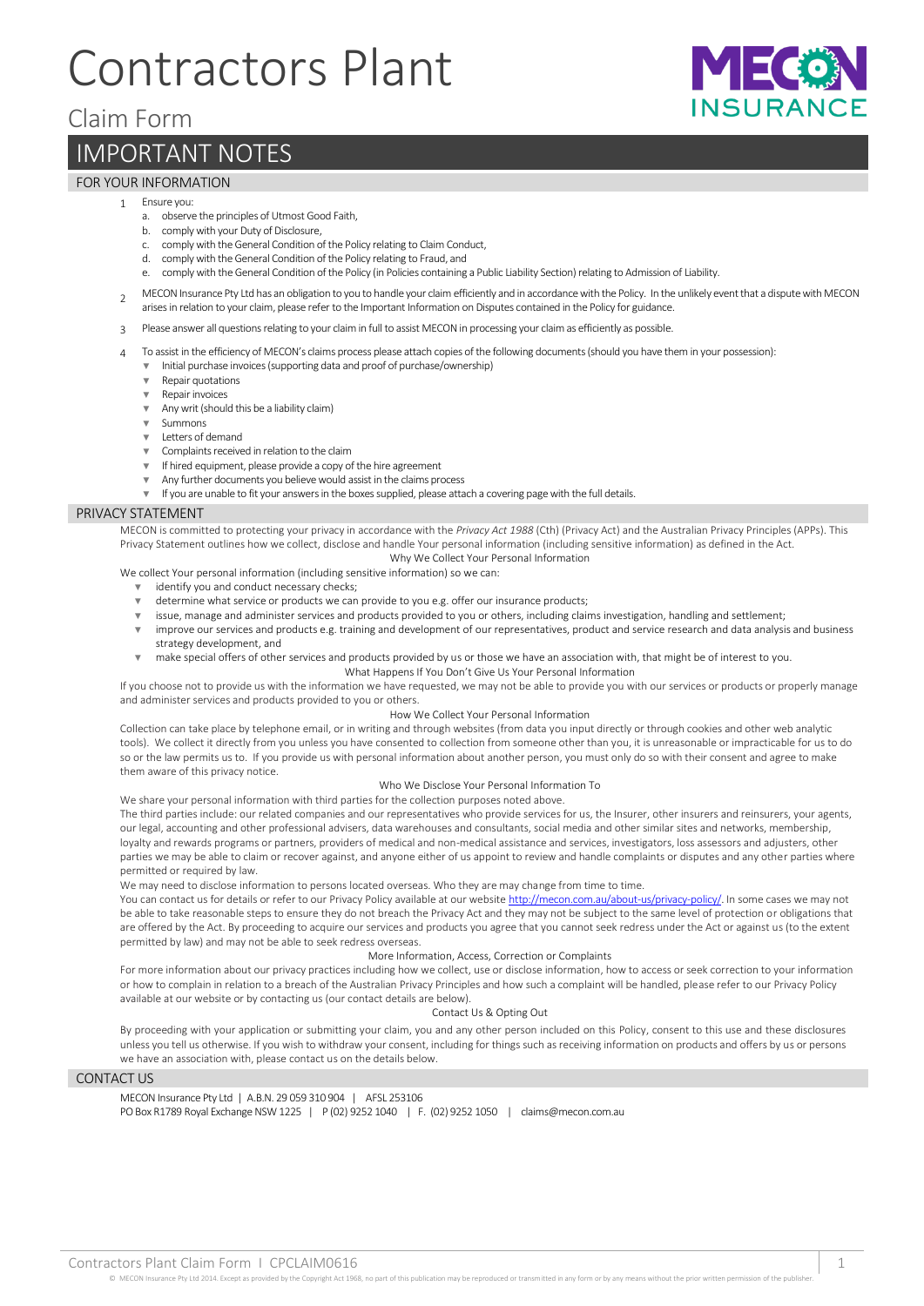# Contractors Plant

## Claim Form

# IMPORTANT NOTES

### FOR YOUR INFORMATION

#### 1 Ensure you:

- a. observe the principles of Utmost Good Faith,
- b. comply with your Duty of Disclosure,
- c. comply with the General Condition of the Policy relating to Claim Conduct,
- d. comply with the General Condition of the Policy relating to Fraud, and
- e. comply with the General Condition of the Policy (in Policies containing a Public Liability Section) relating to Admission of Liability.
- $\overline{2}$ MECON Insurance Pty Ltd has an obligation to you to handle your claim efficiently and in accordance with the Policy. In the unlikely event that a dispute with MECON arises in relation to your claim, please refer to the Important Information on Disputes contained in the Policy for guidance.
- 3 Please answer all questions relating to your claim in full to assist MECON in processing your claim as efficiently as possible.
- 4 To assist in the efficiency of MECON's claims process please attach copies of the following documents (should you have them in your possession):
	- Initial purchase invoices (supporting data and proof of purchase/ownership) Repair quotations
	- **Repair invoices**
	- Any writ (should this be a liability claim)
	- **Summons**
	- ▼ Letters of demand
	- Complaints received in relation to the claim
	- If hired equipment, please provide a copy of the hire agreement
	- Any further documents you believe would assist in the claims process
	- If you are unable to fit your answers in the boxes supplied, please attach a covering page with the full details.

#### PRIVACY STATEMENT

MECON is committed to protecting your privacy in accordance with the *Privacy Act 1988* (Cth) (Privacy Act) and the Australian Privacy Principles (APPs). This Privacy Statement outlines how we collect, disclose and handle Your personal information (including sensitive information) as defined in the Act. Why We Collect Your Personal Information

We collect Your personal information (including sensitive information) so we can:

- identify you and conduct necessary checks;
- determine what service or products we can provide to you e.g. offer our insurance products;
- ▼ issue, manage and administer services and products provided to you or others, including claims investigation, handling and settlement;
- ▼ improve our services and products e.g. training and development of our representatives, product and service research and data analysis and business strategy development, and
	- make special offers of other services and products provided by us or those we have an association with, that might be of interest to you. What Happens If You Don't Give Us Your Personal Information

If you choose not to provide us with the information we have requested, we may not be able to provide you with our services or products or properly manage and administer services and products provided to you or others.

#### How We Collect Your Personal Information

Collection can take place by telephone email, or in writing and through websites (from data you input directly or through cookies and other web analytic tools). We collect it directly from you unless you have consented to collection from someone other than you, it is unreasonable or impracticable for us to do so or the law permits us to. If you provide us with personal information about another person, you must only do so with their consent and agree to make them aware of this privacy notice.

#### Who We Disclose Your Personal Information To

We share your personal information with third parties for the collection purposes noted above.

The third parties include: our related companies and our representatives who provide services for us, the Insurer, other insurers and reinsurers, your agents, our legal, accounting and other professional advisers, data warehouses and consultants, social media and other similar sites and networks, membership, loyalty and rewards programs or partners, providers of medical and non-medical assistance and services, investigators, loss assessors and adjusters, other parties we may be able to claim or recover against, and anyone either of us appoint to review and handle complaints or disputes and any other parties where permitted or required by law.

We may need to disclose information to persons located overseas. Who they are may change from time to time.

You can contact us for details or refer to our Privacy Policy available at our websit[e http://mecon.com.au/about-us/privacy-policy/.](http://mecon.com.au/about-us/privacy-policy/) In some cases we may not be able to take reasonable steps to ensure they do not breach the Privacy Act and they may not be subject to the same level of protection or obligations that are offered by the Act. By proceeding to acquire our services and products you agree that you cannot seek redress under the Act or against us (to the extent permitted by law) and may not be able to seek redress overseas.

#### More Information, Access, Correction or Complaints

For more information about our privacy practices including how we collect, use or disclose information, how to access or seek correction to your information or how to complain in relation to a breach of the Australian Privacy Principles and how such a complaint will be handled, please refer to our Privacy Policy available at our website or by contacting us (our contact details are below).

#### Contact Us & Opting Out

By proceeding with your application or submitting your claim, you and any other person included on this Policy, consent to this use and these disclosures unless you tell us otherwise. If you wish to withdraw your consent, including for things such as receiving information on products and offers by us or persons we have an association with, please contact us on the details below.

#### CONTACT US

MECON Insurance Pty Ltd | A.B.N. 29 059 310 904 | AFSL 253106 PO Box R1789 Royal Exchange NSW 1225 | P (02) 9252 1040 | F. (02) 9252 1050 | claims@mecon.com.au I I Eo

**NSURANO**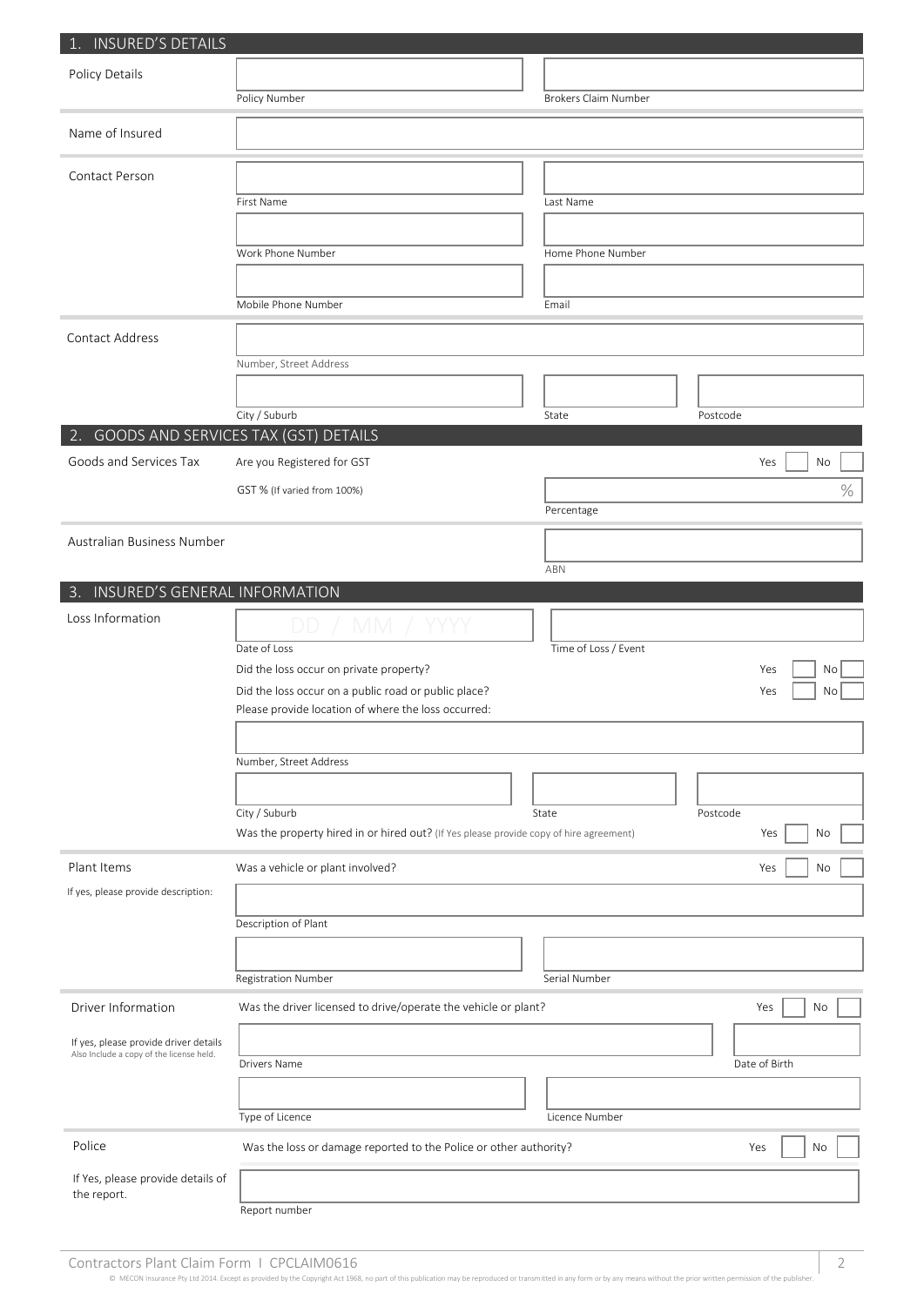| 1. INSURED'S DETAILS                               |                                                                                                             |                             |  |               |
|----------------------------------------------------|-------------------------------------------------------------------------------------------------------------|-----------------------------|--|---------------|
| Policy Details                                     |                                                                                                             |                             |  |               |
|                                                    | Policy Number                                                                                               | <b>Brokers Claim Number</b> |  |               |
| Name of Insured                                    |                                                                                                             |                             |  |               |
|                                                    |                                                                                                             |                             |  |               |
| Contact Person                                     |                                                                                                             |                             |  |               |
|                                                    | First Name                                                                                                  | Last Name                   |  |               |
|                                                    |                                                                                                             |                             |  |               |
|                                                    | Work Phone Number                                                                                           | Home Phone Number           |  |               |
|                                                    |                                                                                                             |                             |  |               |
|                                                    | Mobile Phone Number                                                                                         | Email                       |  |               |
| Contact Address                                    |                                                                                                             |                             |  |               |
|                                                    | Number, Street Address                                                                                      |                             |  |               |
|                                                    |                                                                                                             |                             |  |               |
|                                                    | City / Suburb                                                                                               | State                       |  | Postcode      |
| 2. GOODS AND SERVICES TAX (GST) DETAILS            |                                                                                                             |                             |  |               |
| Goods and Services Tax                             | Are you Registered for GST                                                                                  |                             |  | Yes<br>No     |
|                                                    | GST % (If varied from 100%)                                                                                 |                             |  | $\%$          |
|                                                    |                                                                                                             | Percentage                  |  |               |
| Australian Business Number                         |                                                                                                             |                             |  |               |
|                                                    |                                                                                                             | ABN                         |  |               |
| 3. INSURED'S GENERAL INFORMATION                   |                                                                                                             |                             |  |               |
| Loss Information                                   |                                                                                                             |                             |  |               |
|                                                    | Date of Loss                                                                                                | Time of Loss / Event        |  |               |
|                                                    | Did the loss occur on private property?                                                                     |                             |  | Yes<br>No     |
|                                                    | Did the loss occur on a public road or public place?<br>Please provide location of where the loss occurred: |                             |  | No<br>Yes     |
|                                                    |                                                                                                             |                             |  |               |
|                                                    | Number, Street Address                                                                                      |                             |  |               |
|                                                    |                                                                                                             |                             |  |               |
|                                                    | City / Suburb                                                                                               | State                       |  | Postcode      |
|                                                    | Was the property hired in or hired out? (If Yes please provide copy of hire agreement)                      |                             |  | Yes<br>No     |
|                                                    |                                                                                                             |                             |  |               |
| Plant Items<br>If yes, please provide description: | Was a vehicle or plant involved?                                                                            |                             |  | Yes<br>No     |
|                                                    |                                                                                                             |                             |  |               |
|                                                    | Description of Plant                                                                                        |                             |  |               |
|                                                    |                                                                                                             |                             |  |               |
|                                                    | <b>Registration Number</b>                                                                                  | Serial Number               |  |               |
| Driver Information                                 | Was the driver licensed to drive/operate the vehicle or plant?                                              |                             |  | Yes<br>No     |
| If yes, please provide driver details              |                                                                                                             |                             |  |               |
| Also Include a copy of the license held.           | Drivers Name                                                                                                |                             |  | Date of Birth |
|                                                    |                                                                                                             |                             |  |               |
|                                                    | Type of Licence                                                                                             | Licence Number              |  |               |
| Police                                             | Was the loss or damage reported to the Police or other authority?                                           |                             |  | Yes<br>No     |
| If Yes, please provide details of                  |                                                                                                             |                             |  |               |
| the report.                                        | Report number                                                                                               |                             |  |               |
|                                                    |                                                                                                             |                             |  |               |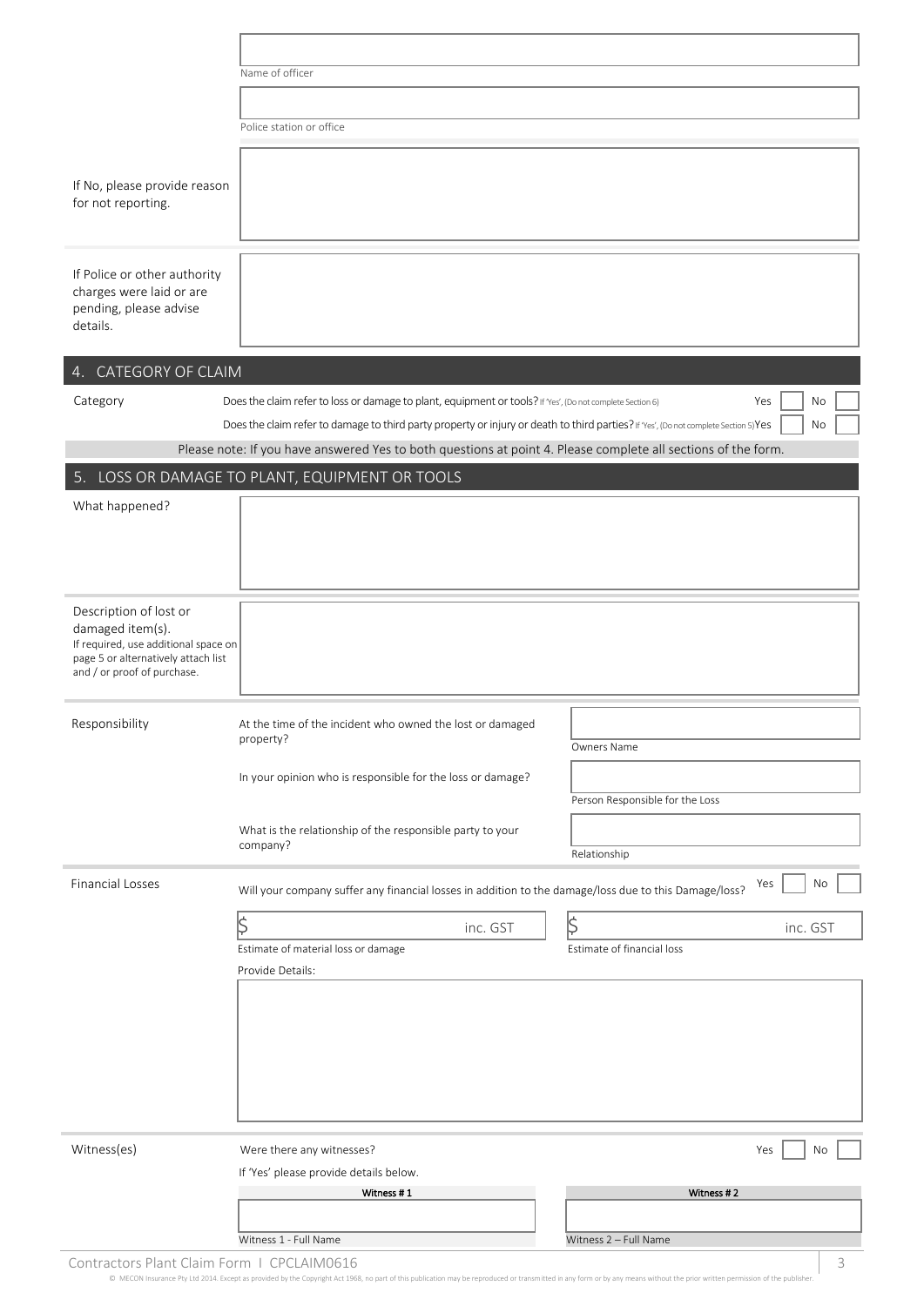|                                                                                                                                                          | Name of officer                                                                                                                     |                                 |
|----------------------------------------------------------------------------------------------------------------------------------------------------------|-------------------------------------------------------------------------------------------------------------------------------------|---------------------------------|
|                                                                                                                                                          |                                                                                                                                     |                                 |
|                                                                                                                                                          | Police station or office                                                                                                            |                                 |
|                                                                                                                                                          |                                                                                                                                     |                                 |
| If No, please provide reason<br>for not reporting.                                                                                                       |                                                                                                                                     |                                 |
| If Police or other authority<br>charges were laid or are<br>pending, please advise<br>details.                                                           |                                                                                                                                     |                                 |
| 4. CATEGORY OF CLAIM                                                                                                                                     |                                                                                                                                     |                                 |
| Category                                                                                                                                                 | Does the claim refer to loss or damage to plant, equipment or tools? If 'Yes', (Do not complete Section 6)                          | No<br>Yes                       |
|                                                                                                                                                          | Does the claim refer to damage to third party property or injury or death to third parties? If Yes', (Do not complete Section 5)Yes | No                              |
|                                                                                                                                                          | Please note: If you have answered Yes to both questions at point 4. Please complete all sections of the form.                       |                                 |
|                                                                                                                                                          | 5. LOSS OR DAMAGE TO PLANT, EQUIPMENT OR TOOLS                                                                                      |                                 |
| What happened?                                                                                                                                           |                                                                                                                                     |                                 |
|                                                                                                                                                          |                                                                                                                                     |                                 |
|                                                                                                                                                          |                                                                                                                                     |                                 |
| Description of lost or<br>damaged item(s).<br>If required, use additional space on<br>page 5 or alternatively attach list<br>and / or proof of purchase. |                                                                                                                                     |                                 |
| Responsibility                                                                                                                                           | At the time of the incident who owned the lost or damaged                                                                           |                                 |
|                                                                                                                                                          | property?                                                                                                                           | Owners Name                     |
|                                                                                                                                                          | In your opinion who is responsible for the loss or damage?                                                                          |                                 |
|                                                                                                                                                          |                                                                                                                                     | Person Responsible for the Loss |
|                                                                                                                                                          | What is the relationship of the responsible party to your                                                                           |                                 |
|                                                                                                                                                          | company?                                                                                                                            | Relationship                    |
| <b>Financial Losses</b>                                                                                                                                  | Will your company suffer any financial losses in addition to the damage/loss due to this Damage/loss?                               | No<br>Yes                       |
|                                                                                                                                                          | $\left \!\!\left\langle \right\rangle\!\!\right $<br>inc. GST                                                                       | $ \! \zeta$<br>inc. GST         |
|                                                                                                                                                          | Estimate of material loss or damage                                                                                                 | Estimate of financial loss      |
|                                                                                                                                                          | Provide Details:                                                                                                                    |                                 |
|                                                                                                                                                          |                                                                                                                                     |                                 |
|                                                                                                                                                          |                                                                                                                                     |                                 |
|                                                                                                                                                          |                                                                                                                                     |                                 |
|                                                                                                                                                          |                                                                                                                                     |                                 |
|                                                                                                                                                          |                                                                                                                                     |                                 |
| Witness(es)                                                                                                                                              |                                                                                                                                     |                                 |
|                                                                                                                                                          | Were there any witnesses?<br>If 'Yes' please provide details below.                                                                 | Yes<br>No                       |
|                                                                                                                                                          | Witness #1                                                                                                                          | Witness #2                      |
|                                                                                                                                                          |                                                                                                                                     |                                 |
|                                                                                                                                                          | Witness 1 - Full Name                                                                                                               | Witness 2 - Full Name           |

Contractors Plant Claim Form I CPCLAIM0616 3

© MECON Insurance Pty Ltd 2014. Except as provided by the Copyright Act 1968, no part of this publication may be reproduced or transmitted in any form or by any means without the prior written permission of the publisher.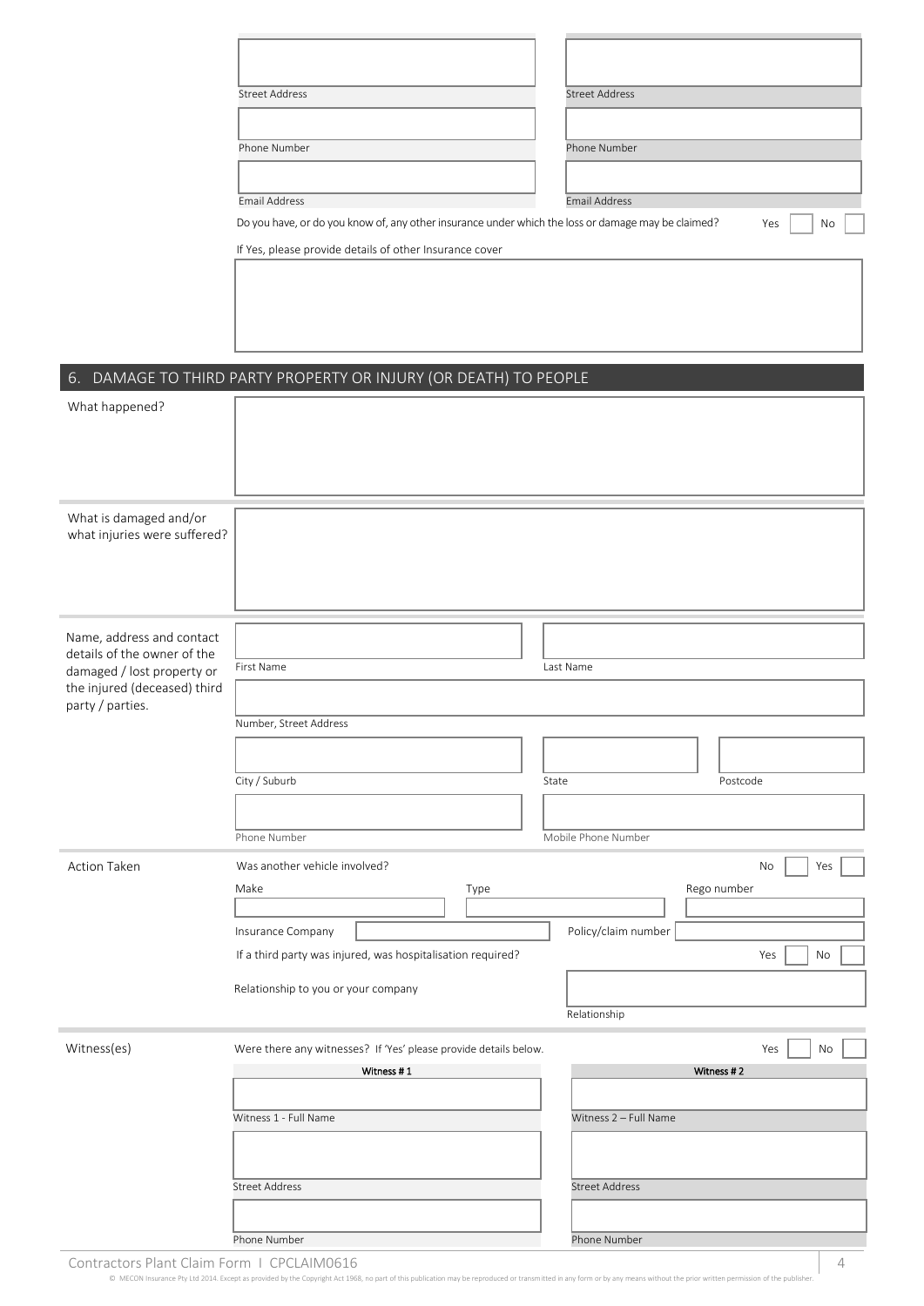|                                                            | <b>Street Address</b>                                                                              | <b>Street Address</b> |
|------------------------------------------------------------|----------------------------------------------------------------------------------------------------|-----------------------|
|                                                            |                                                                                                    |                       |
|                                                            |                                                                                                    |                       |
|                                                            | Phone Number                                                                                       | Phone Number          |
|                                                            |                                                                                                    |                       |
|                                                            | <b>Email Address</b>                                                                               | Email Address         |
|                                                            | Do you have, or do you know of, any other insurance under which the loss or damage may be claimed? | Yes<br>No             |
|                                                            |                                                                                                    |                       |
|                                                            | If Yes, please provide details of other Insurance cover                                            |                       |
|                                                            |                                                                                                    |                       |
|                                                            |                                                                                                    |                       |
|                                                            |                                                                                                    |                       |
|                                                            |                                                                                                    |                       |
|                                                            |                                                                                                    |                       |
|                                                            | 6. DAMAGE TO THIRD PARTY PROPERTY OR INJURY (OR DEATH) TO PEOPLE                                   |                       |
| What happened?                                             |                                                                                                    |                       |
|                                                            |                                                                                                    |                       |
|                                                            |                                                                                                    |                       |
|                                                            |                                                                                                    |                       |
|                                                            |                                                                                                    |                       |
| What is damaged and/or                                     |                                                                                                    |                       |
| what injuries were suffered?                               |                                                                                                    |                       |
|                                                            |                                                                                                    |                       |
|                                                            |                                                                                                    |                       |
|                                                            |                                                                                                    |                       |
|                                                            |                                                                                                    |                       |
| Name, address and contact                                  |                                                                                                    |                       |
| details of the owner of the                                | First Name                                                                                         | Last Name             |
| damaged / lost property or<br>the injured (deceased) third |                                                                                                    |                       |
| party / parties.                                           |                                                                                                    |                       |
|                                                            | Number, Street Address                                                                             |                       |
|                                                            |                                                                                                    |                       |
|                                                            |                                                                                                    |                       |
|                                                            | City / Suburb                                                                                      | Postcode<br>State     |
|                                                            |                                                                                                    |                       |
|                                                            | Phone Number                                                                                       | Mobile Phone Number   |
|                                                            |                                                                                                    |                       |
| Action Taken                                               | Was another vehicle involved?                                                                      | No<br>Yes             |
|                                                            | Make<br>Type                                                                                       | Rego number           |
|                                                            |                                                                                                    |                       |
|                                                            | Insurance Company                                                                                  | Policy/claim number   |
|                                                            | If a third party was injured, was hospitalisation required?                                        | No<br>Yes             |
|                                                            | Relationship to you or your company                                                                |                       |
|                                                            |                                                                                                    |                       |
|                                                            |                                                                                                    | Relationship          |
| Witness(es)                                                | Were there any witnesses? If 'Yes' please provide details below.                                   | Yes<br>No             |
|                                                            | Witness #1                                                                                         | Witness #2            |
|                                                            |                                                                                                    |                       |
|                                                            |                                                                                                    |                       |
|                                                            | Witness 1 - Full Name                                                                              | Witness 2 - Full Name |
|                                                            |                                                                                                    |                       |
|                                                            |                                                                                                    |                       |
|                                                            | <b>Street Address</b>                                                                              | <b>Street Address</b> |
|                                                            |                                                                                                    |                       |
|                                                            | Phone Number                                                                                       | Phone Number          |
|                                                            |                                                                                                    |                       |

Contractors Plant Claim Form I CPCLAIM0616 4 and 200 km and 200 km and 200 km and 200 km and 200 km and 200 km and 200 km and 200 km and 200 km and 200 km and 200 km and 200 km and 200 km and 200 km and 200 km and 200 km a

×

 $©$  MECON Insurance Pty Ltd 2014. Except as provided by the Copyright Act 1968, no part of this publication may be re